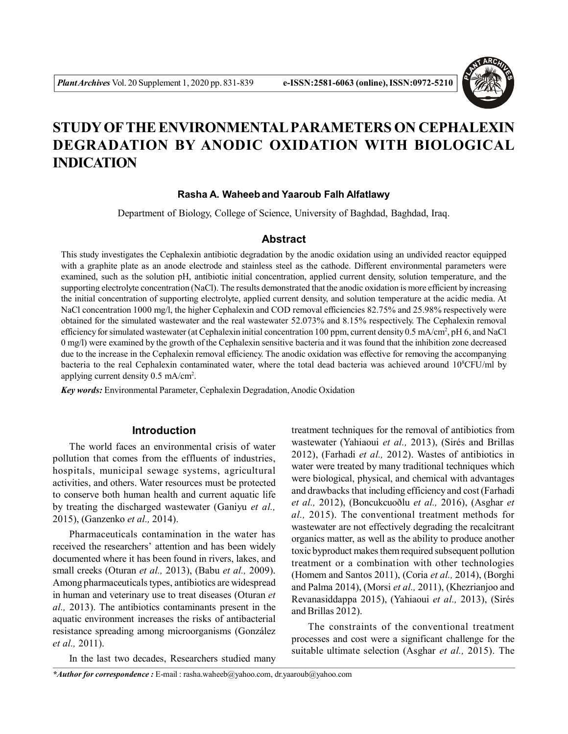

# **STUDY OFTHE ENVIRONMENTAL PARAMETERS ON CEPHALEXIN DEGRADATION BY ANODIC OXIDATION WITH BIOLOGICAL INDICATION**

### **Rasha A. Waheeband Yaaroub Falh Alfatlawy**

Department of Biology, College of Science, University of Baghdad, Baghdad, Iraq.

# **Abstract**

This study investigates the Cephalexin antibiotic degradation by the anodic oxidation using an undivided reactor equipped with a graphite plate as an anode electrode and stainless steel as the cathode. Different environmental parameters were examined, such as the solution pH, antibiotic initial concentration, applied current density, solution temperature, and the supporting electrolyte concentration (NaCl). The results demonstrated that the anodic oxidation is more efficient by increasing the initial concentration of supporting electrolyte, applied current density, and solution temperature at the acidic media. At NaCl concentration 1000 mg/l, the higher Cephalexin and COD removal efficiencies 82.75% and 25.98% respectively were obtained for the simulated wastewater and the real wastewater 52.073% and 8.15% respectively. The Cephalexin removal efficiency for simulated wastewater (at Cephalexin initial concentration 100 ppm, current density  $0.5 \text{ mA/cm}^2$ , pH 6, and NaCl 0 mg/l) were examined by the growth of the Cephalexin sensitive bacteria and it was found that the inhibition zone decreased due to the increase in the Cephalexin removal efficiency. The anodic oxidation was effective for removing the accompanying bacteria to the real Cephalexin contaminated water, where the total dead bacteria was achieved around 10<sup>8</sup>CFU/ml by applying current density 0.5 mA/cm<sup>2</sup> .

*Key words:* Environmental Parameter, Cephalexin Degradation, Anodic Oxidation

## **Introduction**

The world faces an environmental crisis of water pollution that comes from the effluents of industries, hospitals, municipal sewage systems, agricultural activities, and others. Water resources must be protected to conserve both human health and current aquatic life by treating the discharged wastewater (Ganiyu *et al.,* 2015), (Ganzenko *et al.,* 2014).

Pharmaceuticals contamination in the water has received the researchers' attention and has been widely documented where it has been found in rivers, lakes, and small creeks (Oturan *et al.,* 2013), (Babu *et al.,* 2009). Among pharmaceuticals types, antibiotics are widespread in human and veterinary use to treat diseases (Oturan *et al.,* 2013). The antibiotics contaminants present in the aquatic environment increases the risks of antibacterial resistance spreading among microorganisms (González *et al.,* 2011).

In the last two decades, Researchers studied many

treatment techniques for the removal of antibiotics from wastewater (Yahiaoui *et al.,* 2013), (Sirés and Brillas 2012), (Farhadi *et al.,* 2012). Wastes of antibiotics in water were treated by many traditional techniques which were biological, physical, and chemical with advantages and drawbacks that including efficiency and cost (Farhadi *et al.,* 2012), (Boncukcuoðlu *et al.,* 2016), (Asghar *et al.,* 2015). The conventional treatment methods for wastewater are not effectively degrading the recalcitrant organics matter, as well as the ability to produce another toxic byproduct makes them required subsequent pollution treatment or a combination with other technologies (Homem and Santos 2011), (Coria *et al.,* 2014), (Borghi and Palma 2014), (Morsi *et al.,* 2011), (Khezrianjoo and Revanasiddappa 2015), (Yahiaoui *et al.,* 2013), (Sirés and Brillas 2012).

The constraints of the conventional treatment processes and cost were a significant challenge for the suitable ultimate selection (Asghar *et al.,* 2015). The

*\*Author for correspondence :* E-mail : rasha.waheeb@yahoo.com, dr.yaaroub@yahoo.com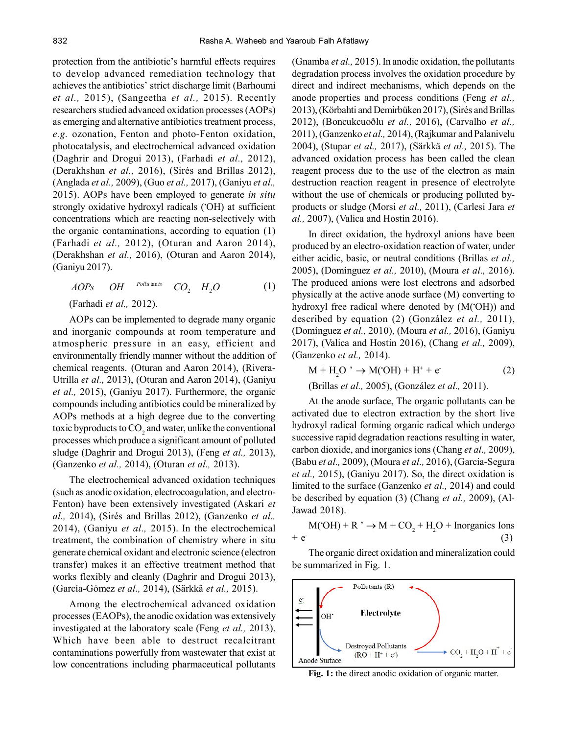protection from the antibiotic's harmful effects requires to develop advanced remediation technology that achieves the antibiotics' strict discharge limit (Barhoumi *et al.,* 2015), (Sangeetha *et al.,* 2015). Recently researchers studied advanced oxidation processes (AOPs) as emerging and alternative antibiotics treatment process, *e.g.* ozonation, Fenton and photo-Fenton oxidation, photocatalysis, and electrochemical advanced oxidation (Daghrir and Drogui 2013), (Farhadi *et al.,* 2012), (Derakhshan *et al.,* 2016), (Sirés and Brillas 2012), (Anglada *et al.,* 2009), (Guo *et al.,* 2017), (Ganiyu *et al.,* 2015). AOPs have been employed to generate *in situ* strongly oxidative hydroxyl radicals (•OH) at sufficient concentrations which are reacting non-selectively with the organic contaminations, according to equation (1) (Farhadi *et al.,* 2012), (Oturan and Aaron 2014), (Derakhshan *et al.,* 2016), (Oturan and Aaron 2014), (Ganiyu 2017).

$$
AOPs \qquad OH \qquad^{Pollutants} \qquad CO_2 \qquad H_2O \tag{1}
$$

(Farhadi *et al.,* 2012).

AOPs can be implemented to degrade many organic and inorganic compounds at room temperature and atmospheric pressure in an easy, efficient and environmentally friendly manner without the addition of chemical reagents. (Oturan and Aaron 2014), (Rivera-Utrilla *et al.,* 2013), (Oturan and Aaron 2014), (Ganiyu *et al.,* 2015), (Ganiyu 2017). Furthermore, the organic compounds including antibiotics could be mineralized by AOPs methods at a high degree due to the converting toxic byproducts to  $\mathrm{CO}_2$  and water, unlike the conventional processes which produce a significant amount of polluted sludge (Daghrir and Drogui 2013), (Feng *et al.,* 2013), (Ganzenko *et al.,* 2014), (Oturan *et al.,* 2013).

The electrochemical advanced oxidation techniques (such as anodic oxidation, electrocoagulation, and electro-Fenton) have been extensively investigated (Askari *et al.,* 2014), (Sirés and Brillas 2012), (Ganzenko *et al.,* 2014), (Ganiyu *et al.,* 2015). In the electrochemical treatment, the combination of chemistry where in situ generate chemical oxidant and electronic science (electron transfer) makes it an effective treatment method that works flexibly and cleanly (Daghrir and Drogui 2013), (García-Gómez *et al.,* 2014), (Särkkä *et al.,* 2015).

Among the electrochemical advanced oxidation processes (EAOPs), the anodic oxidation was extensively investigated at the laboratory scale (Feng *et al.,* 2013). Which have been able to destruct recalcitrant contaminations powerfully from wastewater that exist at low concentrations including pharmaceutical pollutants (Gnamba *et al.,* 2015). In anodic oxidation, the pollutants degradation process involves the oxidation procedure by direct and indirect mechanisms, which depends on the anode properties and process conditions (Feng *et al.,* 2013), (Körbahti and Demirbüken 2017), (Sirés and Brillas 2012), (Boncukcuoðlu *et al.,* 2016), (Carvalho *et al.,* 2011), (Ganzenko *et al.,* 2014), (Rajkumar and Palanivelu 2004), (Stupar *et al.,* 2017), (Särkkä *et al.,* 2015). The advanced oxidation process has been called the clean reagent process due to the use of the electron as main destruction reaction reagent in presence of electrolyte without the use of chemicals or producing polluted byproducts or sludge (Morsi *et al.,* 2011), (Carlesi Jara *et al.,* 2007), (Valica and Hostin 2016).

In direct oxidation, the hydroxyl anions have been produced by an electro-oxidation reaction of water, under either acidic, basic, or neutral conditions (Brillas *et al.,* 2005), (Domínguez *et al.,* 2010), (Moura *et al.,* 2016). The produced anions were lost electrons and adsorbed physically at the active anode surface (M) converting to hydroxyl free radical where denoted by (M(•OH)) and described by equation (2) (González *et al.,* 2011), (Domínguez *et al.,* 2010), (Moura *et al.,* 2016), (Ganiyu 2017), (Valica and Hostin 2016), (Chang *et al.,* 2009), (Ganzenko *et al.,* 2014).

$$
M + H2O^{\prime} \rightarrow M(OH) + H^{+} + e^{\prime}
$$
 (2)

(Brillas *et al.,* 2005), (González *et al.,* 2011).

At the anode surface, The organic pollutants can be activated due to electron extraction by the short live hydroxyl radical forming organic radical which undergo successive rapid degradation reactions resulting in water, carbon dioxide, and inorganics ions (Chang *et al.,* 2009), (Babu *et al.,* 2009), (Moura *et al.,* 2016), (Garcia-Segura *et al.,* 2015), (Ganiyu 2017). So, the direct oxidation is limited to the surface (Ganzenko *et al.,* 2014) and could be described by equation (3) (Chang *et al.,* 2009), (Al-Jawad 2018).

 $M(OH) + R^{\dagger} \rightarrow M + CO_2 + H_2O + Inorganics$  Ions  $+ e^-$ (3)

The organic direct oxidation and mineralization could be summarized in Fig. 1.



**Fig. 1:** the direct anodic oxidation of organic matter.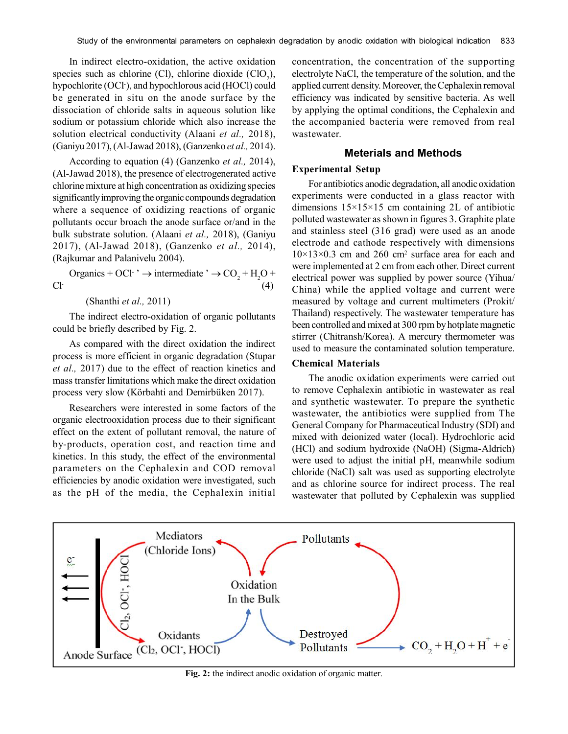In indirect electro-oxidation, the active oxidation species such as chlorine (Cl), chlorine dioxide  $(CIO_2)$ , hypochlorite (OCl<sup>-</sup>), and hypochlorous acid (HOCl) could be generated in situ on the anode surface by the dissociation of chloride salts in aqueous solution like sodium or potassium chloride which also increase the solution electrical conductivity (Alaani *et al.,* 2018), (Ganiyu 2017), (Al-Jawad 2018), (Ganzenko *et al.,* 2014).

According to equation (4) (Ganzenko *et al.,* 2014), (Al-Jawad 2018), the presence of electrogenerated active chlorine mixture at high concentration as oxidizing species significantly improving the organic compounds degradation where a sequence of oxidizing reactions of organic pollutants occur broach the anode surface or/and in the bulk substrate solution. (Alaani *et al.,* 2018), (Ganiyu 2017), (Al-Jawad 2018), (Ganzenko *et al.,* 2014), (Rajkumar and Palanivelu 2004).

Organics + OCl· $\rightarrow$  intermediate  $\rightarrow$  CO<sub>2</sub> + H<sub>2</sub>O + Cl- (4)

(Shanthi *et al.,* 2011)

The indirect electro-oxidation of organic pollutants could be briefly described by Fig. 2.

As compared with the direct oxidation the indirect process is more efficient in organic degradation (Stupar *et al.,* 2017) due to the effect of reaction kinetics and mass transfer limitations which make the direct oxidation process very slow (Körbahti and Demirbüken 2017).

Researchers were interested in some factors of the organic electrooxidation process due to their significant effect on the extent of pollutant removal, the nature of by-products, operation cost, and reaction time and kinetics. In this study, the effect of the environmental parameters on the Cephalexin and COD removal efficiencies by anodic oxidation were investigated, such as the pH of the media, the Cephalexin initial

concentration, the concentration of the supporting electrolyte NaCl, the temperature of the solution, and the applied current density. Moreover, the Cephalexin removal efficiency was indicated by sensitive bacteria. As well by applying the optimal conditions, the Cephalexin and the accompanied bacteria were removed from real wastewater.

# **Meterials and Methods**

#### **Experimental Setup**

For antibiotics anodic degradation, all anodic oxidation experiments were conducted in a glass reactor with dimensions  $15\times15\times15$  cm containing 2L of antibiotic polluted wastewater as shown in figures 3. Graphite plate and stainless steel (316 grad) were used as an anode electrode and cathode respectively with dimensions  $10\times13\times0.3$  cm and 260 cm<sup>2</sup> surface area for each and were implemented at 2 cm from each other. Direct current electrical power was supplied by power source (Yihua/ China) while the applied voltage and current were measured by voltage and current multimeters (Prokit/ Thailand) respectively. The wastewater temperature has been controlled and mixed at 300 rpm by hotplate magnetic stirrer (Chitransh/Korea). A mercury thermometer was used to measure the contaminated solution temperature.

#### **Chemical Materials**

The anodic oxidation experiments were carried out to remove Cephalexin antibiotic in wastewater as real and synthetic wastewater. To prepare the synthetic wastewater, the antibiotics were supplied from The General Company for Pharmaceutical Industry (SDI) and mixed with deionized water (local). Hydrochloric acid (HCl) and sodium hydroxide (NaOH) (Sigma-Aldrich) were used to adjust the initial pH, meanwhile sodium chloride (NaCl) salt was used as supporting electrolyte and as chlorine source for indirect process. The real wastewater that polluted by Cephalexin was supplied



**Fig. 2:** the indirect anodic oxidation of organic matter.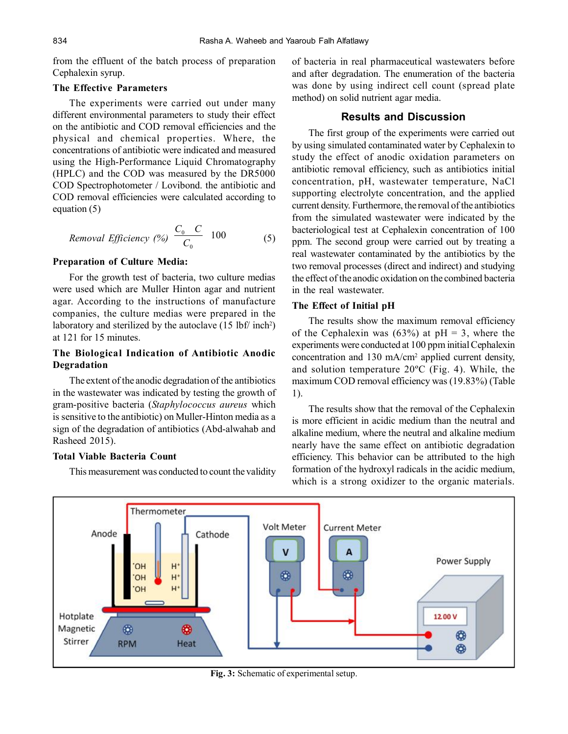from the effluent of the batch process of preparation Cephalexin syrup.

### **The Effective Parameters**

The experiments were carried out under many different environmental parameters to study their effect on the antibiotic and COD removal efficiencies and the physical and chemical properties. Where, the concentrations of antibiotic were indicated and measured using the High-Performance Liquid Chromatography (HPLC) and the COD was measured by the DR5000 COD Spectrophotometer / Lovibond. the antibiotic and COD removal efficiencies were calculated according to equation (5)

$$
Removal Efficiency (%) \frac{C_0 C}{C_0} 100 \tag{5}
$$

#### **Preparation of Culture Media:**

For the growth test of bacteria, two culture medias were used which are Muller Hinton agar and nutrient agar. According to the instructions of manufacture companies, the culture medias were prepared in the laboratory and sterilized by the autoclave  $(15 \text{ lbf/ inch}^2)$ at 121 for 15 minutes.

# **The Biological Indication of Antibiotic Anodic Degradation**

The extent of the anodic degradation of the antibiotics in the wastewater was indicated by testing the growth of gram-positive bacteria (*Staphylococcus aureus* which is sensitive to the antibiotic) on Muller-Hinton media as a sign of the degradation of antibiotics (Abd-alwahab and Rasheed 2015).

#### **Total Viable Bacteria Count**

This measurement was conducted to count the validity

of bacteria in real pharmaceutical wastewaters before and after degradation. The enumeration of the bacteria was done by using indirect cell count (spread plate method) on solid nutrient agar media.

## **Results and Discussion**

The first group of the experiments were carried out by using simulated contaminated water by Cephalexin to study the effect of anodic oxidation parameters on antibiotic removal efficiency, such as antibiotics initial concentration, pH, wastewater temperature, NaCl supporting electrolyte concentration, and the applied current density. Furthermore, the removal of the antibiotics from the simulated wastewater were indicated by the bacteriological test at Cephalexin concentration of 100 ppm. The second group were carried out by treating a real wastewater contaminated by the antibiotics by the two removal processes (direct and indirect) and studying the effect of the anodic oxidation on the combined bacteria in the real wastewater.

#### **The Effect of Initial pH**

The results show the maximum removal efficiency of the Cephalexin was  $(63%)$  at pH = 3, where the experiments were conducted at 100 ppm initial Cephalexin concentration and 130 mA/cm<sup>2</sup> applied current density, and solution temperature 20ºC (Fig. 4). While, the maximum COD removal efficiency was (19.83%) (Table 1).

The results show that the removal of the Cephalexin is more efficient in acidic medium than the neutral and alkaline medium, where the neutral and alkaline medium nearly have the same effect on antibiotic degradation efficiency. This behavior can be attributed to the high formation of the hydroxyl radicals in the acidic medium, which is a strong oxidizer to the organic materials.



**Fig. 3:** Schematic of experimental setup.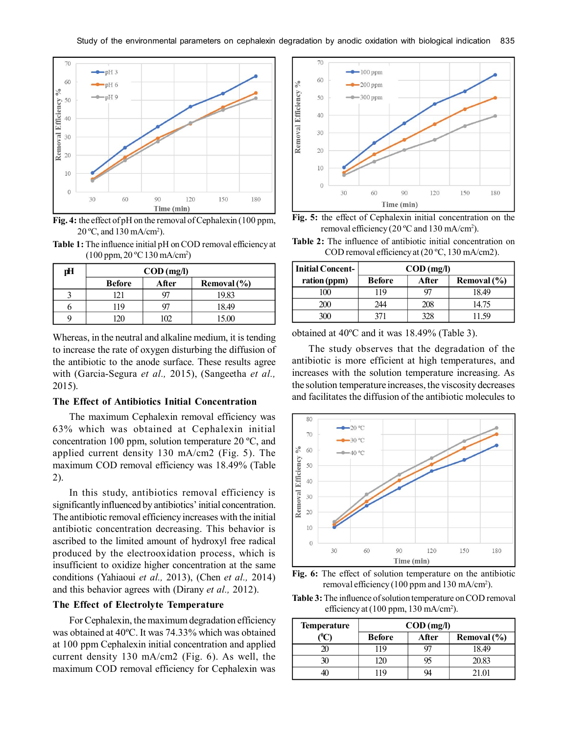

**Fig. 4:** the effect of pH on the removal of Cephalexin (100 ppm,  $20^{\circ}$ C, and  $130$  mA/cm<sup>2</sup>).

**Table 1:** The influence initial pH on COD removal efficiency at (100 ppm, 20 ºC 130 mA/cm<sup>2</sup> )

| рH | $\text{COD (mg/l)}$ |                          |       |  |
|----|---------------------|--------------------------|-------|--|
|    | <b>Before</b>       | After<br>Removal $(\% )$ |       |  |
|    | 121                 |                          | 19.83 |  |
|    | 119                 |                          | 18.49 |  |
|    | 70                  | m                        | 15.00 |  |

Whereas, in the neutral and alkaline medium, it is tending to increase the rate of oxygen disturbing the diffusion of the antibiotic to the anode surface. These results agree with (Garcia-Segura *et al.,* 2015), (Sangeetha *et al.,* 2015).

#### **The Effect of Antibiotics Initial Concentration**

The maximum Cephalexin removal efficiency was 63% which was obtained at Cephalexin initial concentration 100 ppm, solution temperature 20 ºC, and applied current density 130 mA/cm2 (Fig. 5). The maximum COD removal efficiency was 18.49% (Table 2).

In this study, antibiotics removal efficiency is significantly influenced by antibiotics' initial concentration. The antibiotic removal efficiency increases with the initial antibiotic concentration decreasing. This behavior is ascribed to the limited amount of hydroxyl free radical produced by the electrooxidation process, which is insufficient to oxidize higher concentration at the same conditions (Yahiaoui *et al.,* 2013), (Chen *et al.,* 2014) and this behavior agrees with (Dirany *et al.,* 2012).

#### **The Effect of Electrolyte Temperature**

For Cephalexin, the maximum degradation efficiency was obtained at 40ºC. It was 74.33% which was obtained at 100 ppm Cephalexin initial concentration and applied current density 130 mA/cm2 (Fig. 6). As well, the maximum COD removal efficiency for Cephalexin was



**Fig. 5:** the effect of Cephalexin initial concentration on the removal efficiency (20 °C and 130 mA/cm<sup>2</sup>).

**Table 2:** The influence of antibiotic initial concentration on COD removal efficiency at (20 ºC, 130 mA/cm2).

| Initial Concent- | $\text{COD (mg/l)}$ |       |             |
|------------------|---------------------|-------|-------------|
| ration (ppm)     | <b>Before</b>       | After | Removal (%) |
| 100              | 119                 |       | 18.49       |
| 200              | 244                 | 208   | 14.75       |
| 3OO              | 371                 | 328   | I 1 59      |

obtained at 40ºC and it was 18.49% (Table 3).

The study observes that the degradation of the antibiotic is more efficient at high temperatures, and increases with the solution temperature increasing. As the solution temperature increases, the viscosity decreases and facilitates the diffusion of the antibiotic molecules to





**Table 3:** The influence of solution temperature on COD removal efficiency at (100 ppm, 130 mA/cm<sup>2</sup>).

| <b>Temperature</b> | $\text{COD (mg/l)}$ |       |                 |
|--------------------|---------------------|-------|-----------------|
|                    | <b>Before</b>       | After | Removal $(\% )$ |
|                    | 19                  |       | 18.49           |
|                    | 20                  | 95    | 20.83           |
|                    | 19                  |       | 21.01           |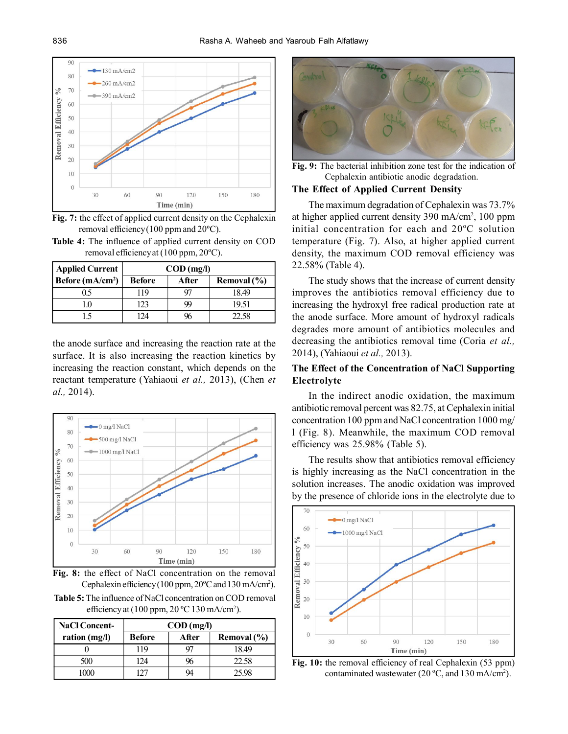

**Fig. 7:** the effect of applied current density on the Cephalexin removal efficiency (100 ppm and 20ºC).

**Table 4:** The influence of applied current density on COD removal efficiency at (100 ppm, 20ºC).

| <b>Applied Current</b> | $\text{COD} \left( \text{mg/l} \right)$ |       |             |
|------------------------|-----------------------------------------|-------|-------------|
| Before $(mA/cm2)$      | <b>Before</b>                           | After | Removal (%) |
| 0.5                    | 119                                     |       | 18.49       |
| -0                     | 123                                     | 99    | 19.51       |
|                        | 124                                     |       | 22.58       |

the anode surface and increasing the reaction rate at the surface. It is also increasing the reaction kinetics by increasing the reaction constant, which depends on the reactant temperature (Yahiaoui *et al.,* 2013), (Chen *et al.,* 2014).



**Fig. 8:** the effect of NaCl concentration on the removal Cephalexin efficiency (100 ppm, 20°C and 130 mA/cm<sup>2</sup>).

**Table 5:** The influence of NaCl concentration on COD removal efficiency at  $(100$  ppm,  $20$  °C  $130$  mA/cm<sup>2</sup>).

| <b>NaCl Concent-</b> | $\text{COD (mg/l)}$ |       |                 |
|----------------------|---------------------|-------|-----------------|
| ration $(mg/l)$      | <b>Before</b>       | After | Removal $(\% )$ |
|                      | 119                 | 97    | 18.49           |
| 500                  | 124                 | 96    | 22.58           |
| ഥന                   | ררו                 |       | 25.98           |



**Fig. 9:** The bacterial inhibition zone test for the indication of Cephalexin antibiotic anodic degradation.

## **The Effect of Applied Current Density**

The maximum degradation of Cephalexin was 73.7% at higher applied current density 390 mA/cm<sup>2</sup> , 100 ppm initial concentration for each and 20ºC solution temperature (Fig. 7). Also, at higher applied current density, the maximum COD removal efficiency was 22.58% (Table 4).

The study shows that the increase of current density improves the antibiotics removal efficiency due to increasing the hydroxyl free radical production rate at the anode surface. More amount of hydroxyl radicals degrades more amount of antibiotics molecules and decreasing the antibiotics removal time (Coria *et al.,* 2014), (Yahiaoui *et al.,* 2013).

# **The Effect of the Concentration of NaCl Supporting Electrolyte**

In the indirect anodic oxidation, the maximum antibiotic removal percent was 82.75, at Cephalexin initial concentration 100 ppm and NaCl concentration 1000 mg/ l (Fig. 8). Meanwhile, the maximum COD removal efficiency was 25.98% (Table 5).

The results show that antibiotics removal efficiency is highly increasing as the NaCl concentration in the solution increases. The anodic oxidation was improved by the presence of chloride ions in the electrolyte due to



**Fig. 10:** the removal efficiency of real Cephalexin (53 ppm) contaminated wastewater  $(20 °C,$  and  $130$  mA/cm<sup>2</sup>).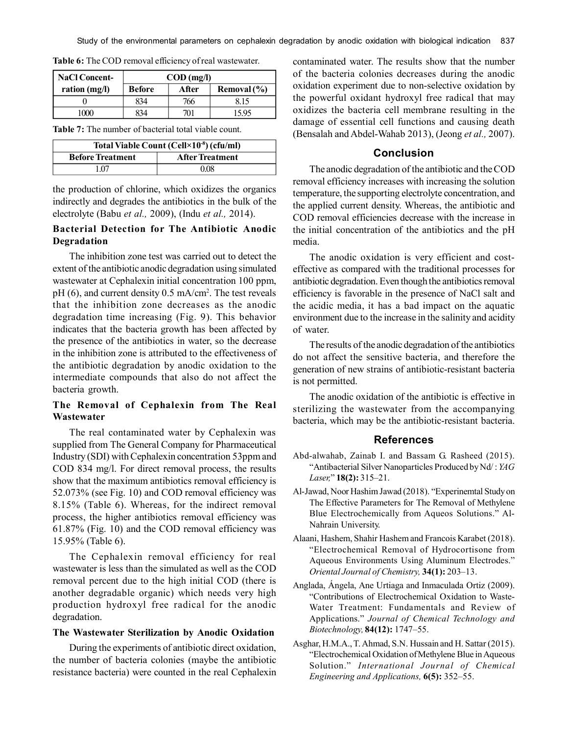| <b>NaCl Concent-</b> | $\text{COD} \left( \text{mg/l} \right)$ |       |             |
|----------------------|-----------------------------------------|-------|-------------|
| ration $(mg/l)$      | <b>Before</b>                           | After | Removal (%) |
|                      | 834                                     | 766   | 8.15        |
| 1000                 | 834                                     | 701   | 15 95       |

**Table 6:** The COD removal efficiency of real wastewater.

**Table 7:** The number of bacterial total viable count.

| Total Viable Count (Cell×10 <sup>-8</sup> ) (cfu/ml) |                        |  |
|------------------------------------------------------|------------------------|--|
| <b>Before Treatment</b>                              | <b>After Treatment</b> |  |
| l 07                                                 | 0.08                   |  |

the production of chlorine, which oxidizes the organics indirectly and degrades the antibiotics in the bulk of the electrolyte (Babu *et al.,* 2009), (Indu *et al.,* 2014).

# **Bacterial Detection for The Antibiotic Anodic Degradation**

The inhibition zone test was carried out to detect the extent of the antibiotic anodic degradation using simulated wastewater at Cephalexin initial concentration 100 ppm, pH (6), and current density 0.5 mA/cm<sup>2</sup>. The test reveals that the inhibition zone decreases as the anodic degradation time increasing (Fig. 9). This behavior indicates that the bacteria growth has been affected by the presence of the antibiotics in water, so the decrease in the inhibition zone is attributed to the effectiveness of the antibiotic degradation by anodic oxidation to the intermediate compounds that also do not affect the bacteria growth.

# **The Removal of Cephalexin from The Real Wastewater**

The real contaminated water by Cephalexin was supplied from The General Company for Pharmaceutical Industry (SDI) with Cephalexin concentration 53ppm and COD 834 mg/l. For direct removal process, the results show that the maximum antibiotics removal efficiency is 52.073% (see Fig. 10) and COD removal efficiency was 8.15% (Table 6). Whereas, for the indirect removal process, the higher antibiotics removal efficiency was 61.87% (Fig. 10) and the COD removal efficiency was 15.95% (Table 6).

The Cephalexin removal efficiency for real wastewater is less than the simulated as well as the COD removal percent due to the high initial COD (there is another degradable organic) which needs very high production hydroxyl free radical for the anodic degradation.

## **The Wastewater Sterilization by Anodic Oxidation**

During the experiments of antibiotic direct oxidation, the number of bacteria colonies (maybe the antibiotic resistance bacteria) were counted in the real Cephalexin contaminated water. The results show that the number of the bacteria colonies decreases during the anodic oxidation experiment due to non-selective oxidation by the powerful oxidant hydroxyl free radical that may oxidizes the bacteria cell membrane resulting in the damage of essential cell functions and causing death (Bensalah and Abdel-Wahab 2013), (Jeong *et al.,* 2007).

# **Conclusion**

The anodic degradation of the antibiotic and the COD removal efficiency increases with increasing the solution temperature, the supporting electrolyte concentration, and the applied current density. Whereas, the antibiotic and COD removal efficiencies decrease with the increase in the initial concentration of the antibiotics and the pH media.

The anodic oxidation is very efficient and costeffective as compared with the traditional processes for antibiotic degradation. Even though the antibiotics removal efficiency is favorable in the presence of NaCl salt and the acidic media, it has a bad impact on the aquatic environment due to the increase in the salinity and acidity of water.

The results of the anodic degradation of the antibiotics do not affect the sensitive bacteria, and therefore the generation of new strains of antibiotic-resistant bacteria is not permitted.

The anodic oxidation of the antibiotic is effective in sterilizing the wastewater from the accompanying bacteria, which may be the antibiotic-resistant bacteria.

# **References**

- Abd-alwahab, Zainab I. and Bassam G. Rasheed (2015). "Antibacterial Silver Nanoparticles Produced by Nd/ : *YAG Laser,*" **18(2):** 315–21.
- Al-Jawad, Noor Hashim Jawad (2018). "Experinemtal Study on The Effective Parameters for The Removal of Methylene Blue Electrochemically from Aqueos Solutions." Al-Nahrain University.
- Alaani, Hashem, Shahir Hashem and Francois Karabet (2018). "Electrochemical Removal of Hydrocortisone from Aqueous Environments Using Aluminum Electrodes." *Oriental Journal of Chemistry,* **34(1):** 203–13.
- Anglada, Ángela, Ane Urtiaga and Inmaculada Ortiz (2009). "Contributions of Electrochemical Oxidation to Waste-Water Treatment: Fundamentals and Review of Applications." *Journal of Chemical Technology and Biotechnology,* **84(12):** 1747–55.
- Asghar, H.M.A., T. Ahmad, S.N. Hussain and H. Sattar (2015). "Electrochemical Oxidation of Methylene Blue in Aqueous Solution." *International Journal of Chemical Engineering and Applications,* **6(5):** 352–55.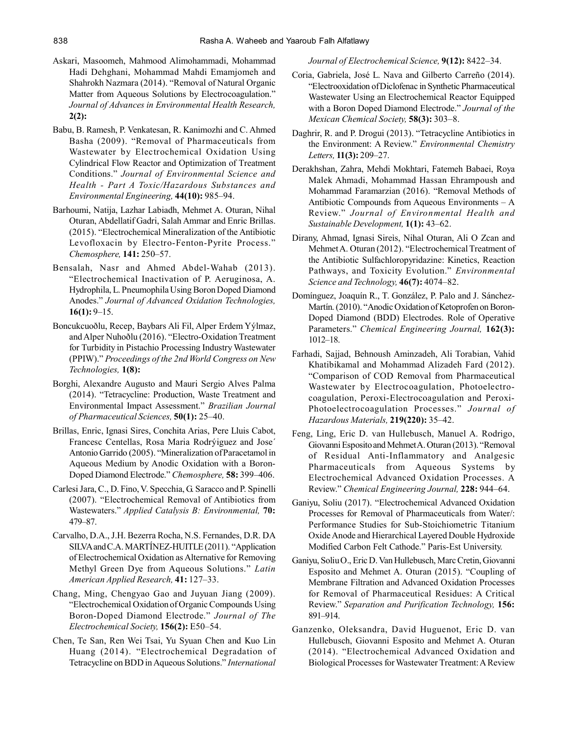- Askari, Masoomeh, Mahmood Alimohammadi, Mohammad Hadi Dehghani, Mohammad Mahdi Emamjomeh and Shahrokh Nazmara (2014). "Removal of Natural Organic Matter from Aqueous Solutions by Electrocoagulation." *Journal of Advances in Environmental Health Research,* **2(2):**
- Babu, B. Ramesh, P. Venkatesan, R. Kanimozhi and C. Ahmed Basha (2009). "Removal of Pharmaceuticals from Wastewater by Electrochemical Oxidation Using Cylindrical Flow Reactor and Optimization of Treatment Conditions." *Journal of Environmental Science and Health - Part A Toxic/Hazardous Substances and Environmental Engineering,* **44(10):** 985–94.
- Barhoumi, Natija, Lazhar Labiadh, Mehmet A. Oturan, Nihal Oturan, Abdellatif Gadri, Salah Ammar and Enric Brillas. (2015). "Electrochemical Mineralization of the Antibiotic Levofloxacin by Electro-Fenton-Pyrite Process." *Chemosphere,* **141:** 250–57.
- Bensalah, Nasr and Ahmed Abdel-Wahab (2013). "Electrochemical Inactivation of P. Aeruginosa, A. Hydrophila, L. Pneumophila Using Boron Doped Diamond Anodes." *Journal of Advanced Oxidation Technologies,* **16(1):** 9–15.
- Boncukcuoðlu, Recep, Baybars Ali Fil, Alper Erdem Yýlmaz, and Alper Nuhoðlu (2016). "Electro-Oxidation Treatment for Turbidity in Pistachio Processing Industry Wastewater (PPIW)." *Proceedings of the 2nd World Congress on New Technologies,* **1(8):**
- Borghi, Alexandre Augusto and Mauri Sergio Alves Palma (2014). "Tetracycline: Production, Waste Treatment and Environmental Impact Assessment." *Brazilian Journal of Pharmaceutical Sciences,* **50(1):** 25–40.
- Brillas, Enric, Ignasi Sires, Conchita Arias, Pere Lluis Cabot, Francesc Centellas, Rosa Maria Rodrýiguez and Jose´ Antonio Garrido (2005). "Mineralization of Paracetamol in Aqueous Medium by Anodic Oxidation with a Boron-Doped Diamond Electrode." *Chemosphere,* **58:** 399–406.
- Carlesi Jara, C., D. Fino, V. Specchia, G. Saracco and P. Spinelli (2007). "Electrochemical Removal of Antibiotics from Wastewaters." *Applied Catalysis B: Environmental,* **70:** 479–87.
- Carvalho, D.A., J.H. Bezerra Rocha, N.S. Fernandes, D.R. DA SILVA and C.A. MARTÍNEZ-HUITLE (2011). "Application of Electrochemical Oxidation as Alternative for Removing Methyl Green Dye from Aqueous Solutions." *Latin American Applied Research,* **41:** 127–33.
- Chang, Ming, Chengyao Gao and Juyuan Jiang (2009). "Electrochemical Oxidation of Organic Compounds Using Boron-Doped Diamond Electrode." *Journal of The Electrochemical Society,* **156(2):** E50–54.
- Chen, Te San, Ren Wei Tsai, Yu Syuan Chen and Kuo Lin Huang (2014). "Electrochemical Degradation of Tetracycline on BDD in Aqueous Solutions." *International*

*Journal of Electrochemical Science,* **9(12):** 8422–34.

- Coria, Gabriela, José L. Nava and Gilberto Carreño (2014). "Electrooxidation of Diclofenac in Synthetic Pharmaceutical Wastewater Using an Electrochemical Reactor Equipped with a Boron Doped Diamond Electrode." *Journal of the Mexican Chemical Society,* **58(3):** 303–8.
- Daghrir, R. and P. Drogui (2013). "Tetracycline Antibiotics in the Environment: A Review." *Environmental Chemistry Letters,* **11(3):** 209–27.
- Derakhshan, Zahra, Mehdi Mokhtari, Fatemeh Babaei, Roya Malek Ahmadi, Mohammad Hassan Ehrampoush and Mohammad Faramarzian (2016). "Removal Methods of Antibiotic Compounds from Aqueous Environments – A Review." *Journal of Environmental Health and Sustainable Development,* **1(1):** 43–62.
- Dirany, Ahmad, Ignasi Sireìs, Nihal Oturan, Ali O Zcan and Mehmet A. Oturan (2012). "Electrochemical Treatment of the Antibiotic Sulfachloropyridazine: Kinetics, Reaction Pathways, and Toxicity Evolution." *Environmental Science and Technology,* **46(7):** 4074–82.
- Domínguez, Joaquín R., T. González, P. Palo and J. Sánchez-Martín. (2010). "Anodic Oxidation of Ketoprofen on Boron-Doped Diamond (BDD) Electrodes. Role of Operative Parameters." *Chemical Engineering Journal,* **162(3):** 1012–18.
- Farhadi, Sajjad, Behnoush Aminzadeh, Ali Torabian, Vahid Khatibikamal and Mohammad Alizadeh Fard (2012). "Comparison of COD Removal from Pharmaceutical Wastewater by Electrocoagulation, Photoelectrocoagulation, Peroxi-Electrocoagulation and Peroxi-Photoelectrocoagulation Processes." *Journal of Hazardous Materials,* **219(220):** 35–42.
- Feng, Ling, Eric D. van Hullebusch, Manuel A. Rodrigo, Giovanni Esposito and Mehmet A. Oturan (2013). "Removal of Residual Anti-Inflammatory and Analgesic Pharmaceuticals from Aqueous Systems by Electrochemical Advanced Oxidation Processes. A Review." *Chemical Engineering Journal,* **228:** 944–64.
- Ganiyu, Soliu (2017). "Electrochemical Advanced Oxidation Processes for Removal of Pharmaceuticals from Water/: Performance Studies for Sub-Stoichiometric Titanium Oxide Anode and Hierarchical Layered Double Hydroxide Modified Carbon Felt Cathode." Paris-Est University.
- Ganiyu, Soliu O., Eric D. Van Hullebusch, Marc Cretin, Giovanni Esposito and Mehmet A. Oturan (2015). "Coupling of Membrane Filtration and Advanced Oxidation Processes for Removal of Pharmaceutical Residues: A Critical Review." *Separation and Purification Technology,* **156:** 891–914.
- Ganzenko, Oleksandra, David Huguenot, Eric D. van Hullebusch, Giovanni Esposito and Mehmet A. Oturan (2014). "Electrochemical Advanced Oxidation and Biological Processes for Wastewater Treatment: A Review